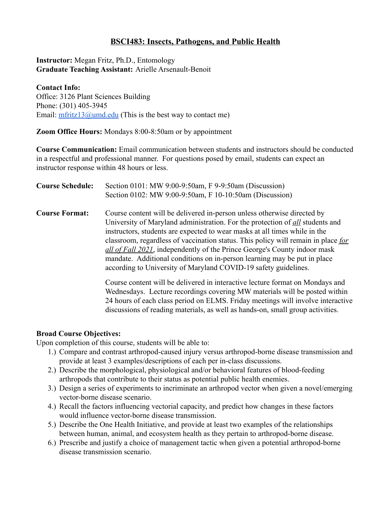# **BSCI483: Insects, Pathogens, and Public Health**

**Instructor:** Megan Fritz, Ph.D., Entomology **Graduate Teaching Assistant:** Arielle Arsenault-Benoit

### **Contact Info:** Office: 3126 Plant Sciences Building Phone: (301) 405-3945 Email:  $\frac{m \cdot \text{fritz13}(a) \cdot \text{und.edu}}{m \cdot \text{end}}$  (This is the best way to contact me)

**Zoom Office Hours:** Mondays 8:00-8:50am or by appointment

**Course Communication:** Email communication between students and instructors should be conducted in a respectful and professional manner. For questions posed by email, students can expect an instructor response within 48 hours or less.

| <b>Course Schedule:</b> | Section 0101: MW 9:00-9:50am, F 9-9:50am (Discussion)<br>Section 0102: MW 9:00-9:50am, F 10-10:50am (Discussion)                                                                                                                                                                                                                                                                                                                                                                                                                                               |
|-------------------------|----------------------------------------------------------------------------------------------------------------------------------------------------------------------------------------------------------------------------------------------------------------------------------------------------------------------------------------------------------------------------------------------------------------------------------------------------------------------------------------------------------------------------------------------------------------|
| <b>Course Format:</b>   | Course content will be delivered in-person unless otherwise directed by<br>University of Maryland administration. For the protection of <u>all</u> students and<br>instructors, students are expected to wear masks at all times while in the<br>classroom, regardless of vaccination status. This policy will remain in place for<br>all of Fall 2021, independently of the Prince George's County indoor mask<br>mandate. Additional conditions on in-person learning may be put in place<br>according to University of Maryland COVID-19 safety guidelines. |
|                         | Course content will be delivered in interactive lecture format on Mondays and<br>Wednesdays. Lecture recordings covering MW materials will be posted within<br>24 hours of each class period on ELMS. Friday meetings will involve interactive<br>discussions of reading materials, as well as hands-on, small group activities.                                                                                                                                                                                                                               |

# **Broad Course Objectives:**

Upon completion of this course, students will be able to:

- 1.) Compare and contrast arthropod-caused injury versus arthropod-borne disease transmission and provide at least 3 examples/descriptions of each per in-class discussions.
- 2.) Describe the morphological, physiological and/or behavioral features of blood-feeding arthropods that contribute to their status as potential public health enemies.
- 3.) Design a series of experiments to incriminate an arthropod vector when given a novel/emerging vector-borne disease scenario.
- 4.) Recall the factors influencing vectorial capacity, and predict how changes in these factors would influence vector-borne disease transmission.
- 5.) Describe the One Health Initiative, and provide at least two examples of the relationships between human, animal, and ecosystem health as they pertain to arthropod-borne disease.
- 6.) Prescribe and justify a choice of management tactic when given a potential arthropod-borne disease transmission scenario.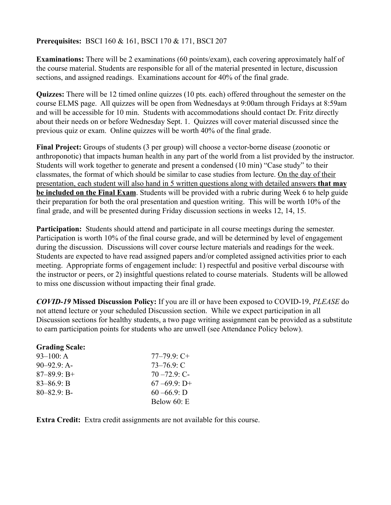### **Prerequisites:** BSCI 160 & 161, BSCI 170 & 171, BSCI 207

**Examinations:** There will be 2 examinations (60 points/exam), each covering approximately half of the course material. Students are responsible for all of the material presented in lecture, discussion sections, and assigned readings. Examinations account for 40% of the final grade.

**Quizzes:** There will be 12 timed online quizzes (10 pts. each) offered throughout the semester on the course ELMS page. All quizzes will be open from Wednesdays at 9:00am through Fridays at 8:59am and will be accessible for 10 min. Students with accommodations should contact Dr. Fritz directly about their needs on or before Wednesday Sept. 1. Quizzes will cover material discussed since the previous quiz or exam. Online quizzes will be worth 40% of the final grade.

**Final Project:** Groups of students (3 per group) will choose a vector-borne disease (zoonotic or anthroponotic) that impacts human health in any part of the world from a list provided by the instructor. Students will work together to generate and present a condensed (10 min) "Case study" to their classmates, the format of which should be similar to case studies from lecture. On the day of their presentation, each student will also hand in 5 written questions along with detailed answers **that may be included on the Final Exam**. Students will be provided with a rubric during Week 6 to help guide their preparation for both the oral presentation and question writing. This will be worth 10% of the final grade, and will be presented during Friday discussion sections in weeks 12, 14, 15.

**Participation:** Students should attend and participate in all course meetings during the semester. Participation is worth 10% of the final course grade, and will be determined by level of engagement during the discussion. Discussions will cover course lecture materials and readings for the week. Students are expected to have read assigned papers and/or completed assigned activities prior to each meeting. Appropriate forms of engagement include: 1) respectful and positive verbal discourse with the instructor or peers, or 2) insightful questions related to course materials. Students will be allowed to miss one discussion without impacting their final grade.

*COVID-19* **Missed Discussion Policy:** If you are ill or have been exposed to COVID-19, *PLEASE* do not attend lecture or your scheduled Discussion section. While we expect participation in all Discussion sections for healthy students, a two page writing assignment can be provided as a substitute to earn participation points for students who are unwell (see Attendance Policy below).

| <b>Grading Scale:</b> |                  |
|-----------------------|------------------|
| $93-100$ : A          | $77 - 79.9$ : C+ |
| $90-92.9$ : A-        | $73 - 76.9$ : C  |
| $87 - 89.9$ : B+      | $70 - 72.9$ : C- |
| $83 - 86.9$ : B       | $67 - 69.9$ : D+ |
| $80 - 82.9$ : B-      | $60 - 66.9$ : D  |
|                       | Below $60: E$    |

**Extra Credit:** Extra credit assignments are not available for this course.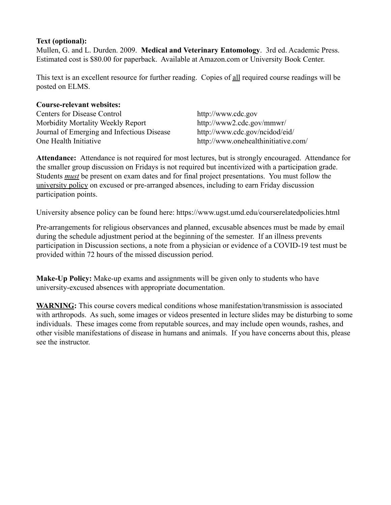## **Text (optional):**

Mullen, G. and L. Durden. 2009. **Medical and Veterinary Entomology**. 3rd ed. Academic Press. Estimated cost is \$80.00 for paperback. Available at Amazon.com or University Book Center.

This text is an excellent resource for further reading. Copies of all required course readings will be posted on ELMS.

### **Course-relevant websites:**

Centers for Disease Control http://www.cdc.gov Morbidity Mortality Weekly Report http://www2.cdc.gov/mmwr/ Journal of Emerging and Infectious Disease http://www.cdc.gov/ncidod/eid/ One Health Initiative http://www.onehealthinitiative.com/

**Attendance:** Attendance is not required for most lectures, but is strongly encouraged. Attendance for the smaller group discussion on Fridays is not required but incentivized with a participation grade. Students *must* be present on exam dates and for final project presentations. You must follow the [university policy](https://www.ugst.umd.edu/courserelatedpolicies.html) on excused or pre-arranged absences, including to earn Friday discussion participation points.

University absence policy can be found here: https://www.ugst.umd.edu/courserelatedpolicies.html

Pre-arrangements for religious observances and planned, excusable absences must be made by email during the schedule adjustment period at the beginning of the semester. If an illness prevents participation in Discussion sections, a note from a physician or evidence of a COVID-19 test must be provided within 72 hours of the missed discussion period.

**Make-Up Policy:** Make-up exams and assignments will be given only to students who have university-excused absences with appropriate documentation.

**WARNING:** This course covers medical conditions whose manifestation/transmission is associated with arthropods. As such, some images or videos presented in lecture slides may be disturbing to some individuals. These images come from reputable sources, and may include open wounds, rashes, and other visible manifestations of disease in humans and animals. If you have concerns about this, please see the instructor.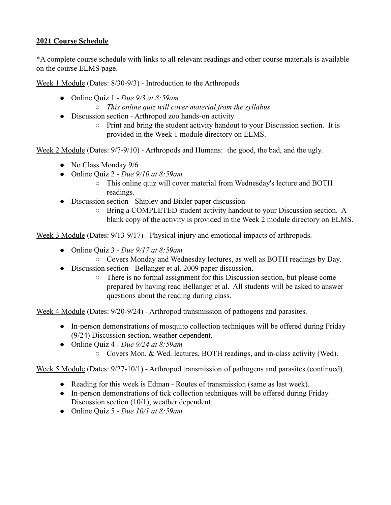## **2021 Course Schedule**

\*A complete course schedule with links to all relevant readings and other course materials is available on the course ELMS page.

Week 1 Module (Dates: 8/30-9/3) - Introduction to the Arthropods

- Online Quiz 1 *Due 9/3 at 8:59am*
	- *This online quiz will cover material from the syllabus.*
- Discussion section Arthropod zoo hands-on activity
	- Print and bring the student activity handout to your Discussion section. It is provided in the Week 1 module directory on ELMS.

Week 2 Module (Dates:  $9/7-9/10$ ) - Arthropods and Humans: the good, the bad, and the ugly.

- No Class Monday 9/6
- Online Quiz 2 *Due 9/10 at 8:59am*
	- This online quiz will cover material from Wednesday's lecture and BOTH readings.
- Discussion section Shipley and Bixler paper discussion
	- Bring a COMPLETED student activity handout to your Discussion section. A blank copy of the activity is provided in the Week 2 module directory on ELMS.

Week 3 Module (Dates: 9/13-9/17) - Physical injury and emotional impacts of arthropods.

- Online Quiz 3 *Due 9/17 at 8:59am*
	- Covers Monday and Wednesday lectures, as well as BOTH readings by Day.
- Discussion section *-* Bellanger et al. 2009 paper discussion.
	- There is no formal assignment for this Discussion section, but please come prepared by having read Bellanger et al. All students will be asked to answer questions about the reading during class.

Week 4 Module (Dates: 9/20-9/24) - Arthropod transmission of pathogens and parasites.

- In-person demonstrations of mosquito collection techniques will be offered during Friday (9/24) Discussion section, weather dependent.
- Online Quiz 4 *Due 9/24 at 8:59am*
	- Covers Mon. & Wed. lectures, BOTH readings, and in-class activity (Wed).

Week 5 Module (Dates: 9/27-10/1) - Arthropod transmission of pathogens and parasites (continued).

- Reading for this week is Edman Routes of transmission (same as last week).
- In-person demonstrations of tick collection techniques will be offered during Friday Discussion section (10/1), weather dependent.
- Online Quiz 5 *Due 10/1 at 8:59am*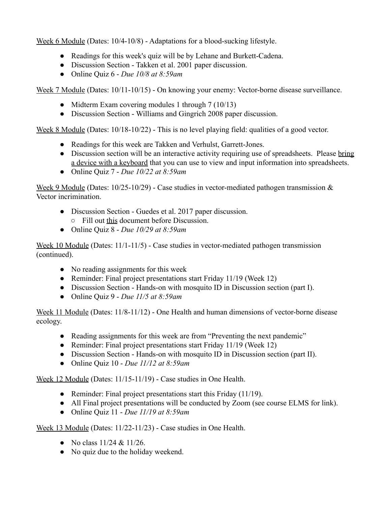Week 6 Module (Dates: 10/4-10/8) - Adaptations for a blood-sucking lifestyle.

- Readings for this week's quiz will be by Lehane and Burkett-Cadena.
- Discussion Section Takken et al. 2001 paper discussion.
- Online Quiz 6 *Due 10/8 at 8:59am*

Week 7 Module (Dates: 10/11-10/15) - On knowing your enemy: Vector-borne disease surveillance.

- Midterm Exam covering modules 1 through 7 (10/13)
- Discussion Section Williams and Gingrich 2008 paper discussion.

Week 8 Module (Dates: 10/18-10/22) - This is no level playing field: qualities of a good vector.

- Readings for this week are Takken and Verhulst, Garrett-Jones.
- Discussion section will be an interactive activity requiring use of spreadsheets. Please bring a device with a keyboard that you can use to view and input information into spreadsheets.
- Online Quiz 7 *Due 10/22 at 8:59am*

Week 9 Module (Dates:  $10/25-10/29$ ) - Case studies in vector-mediated pathogen transmission  $\&$ Vector incrimination.

- Discussion Section Guedes et al. 2017 paper discussion. ○ Fill out [this](https://docs.google.com/document/d/1VRZGCD3TwAhPq3LwjASlmGx47A4TUHsTm7VH7n8Ckp8/edit?usp=sharing) document before Discussion.
- Online Quiz 8 *Due 10/29 at 8:59am*

Week 10 Module (Dates: 11/1-11/5) - Case studies in vector-mediated pathogen transmission (continued).

- No reading assignments for this week
- Reminder: Final project presentations start Friday 11/19 (Week 12)
- Discussion Section Hands-on with mosquito ID in Discussion section (part I).
- Online Quiz 9 *Due 11/5 at 8:59am*

Week 11 Module (Dates: 11/8-11/12) - One Health and human dimensions of vector-borne disease ecology.

- Reading assignments for this week are from "Preventing the next pandemic"
- Reminder: Final project presentations start Friday 11/19 (Week 12)
- Discussion Section Hands-on with mosquito ID in Discussion section (part II).
- Online Quiz 10 *Due 11/12 at 8:59am*

Week 12 Module (Dates: 11/15-11/19) - Case studies in One Health.

- Reminder: Final project presentations start this Friday (11/19).
- All Final project presentations will be conducted by Zoom (see course ELMS for link).
- Online Quiz 11 *Due 11/19 at 8:59am*

Week 13 Module (Dates: 11/22-11/23) - Case studies in One Health.

- No class  $11/24 \& 11/26$ .
- No quiz due to the holiday weekend.